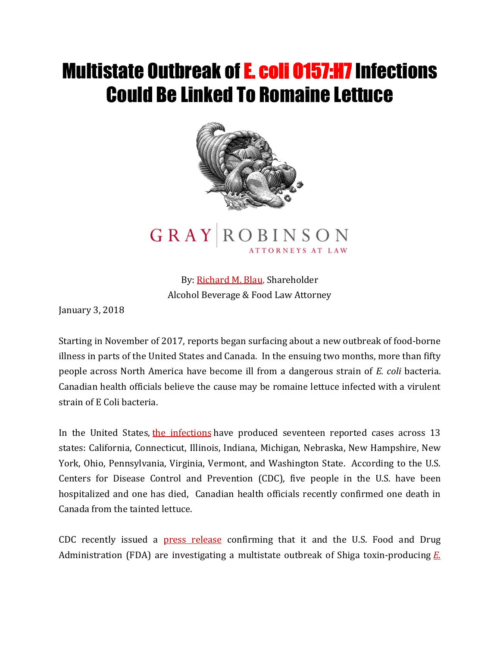## **Multistate Outbreak of E. coli 0157:H7 Infections** Could Be Linked To Romaine Lettuce



## **GRAY ROBINSON**

By: [Richard M. Blau,](http://www.gray-robinson.com/attorneys-professionals/richard-m-blau) Shareholder Alcohol Beverage & Food Law Attorney

January 3, 2018

Starting in November of 2017, reports began surfacing about a new outbreak of food-borne illness in parts of the United States and Canada. In the ensuing two months, more than fifty people across North America have become ill from a dangerous strain of *E. coli* bacteria. Canadian health officials believe the cause may be romaine lettuce infected with a virulent strain of E Coli bacteria.

In the United States, [the infections](https://www.cdc.gov/media/releases/2017/s1228-e-coli-outbreak.html) have produced seventeen reported cases across 13 states: California, Connecticut, Illinois, Indiana, Michigan, Nebraska, New Hampshire, New York, Ohio, Pennsylvania, Virginia, Vermont, and Washington State. According to the U.S. Centers for Disease Control and Prevention (CDC), five people in the U.S. have been hospitalized and one has died, Canadian health officials recently confirmed one death in Canada from the tainted lettuce.

CDC recently issued a [press release](https://www.cdc.gov/media/releases/2017/s1228-e-coli-outbreak.html) confirming that it and the U.S. Food and Drug Administration (FDA) are investigating a multistate outbreak of Shiga toxin-producing *[E.](https://www.cdc.gov/ecoli/general/index.html)*